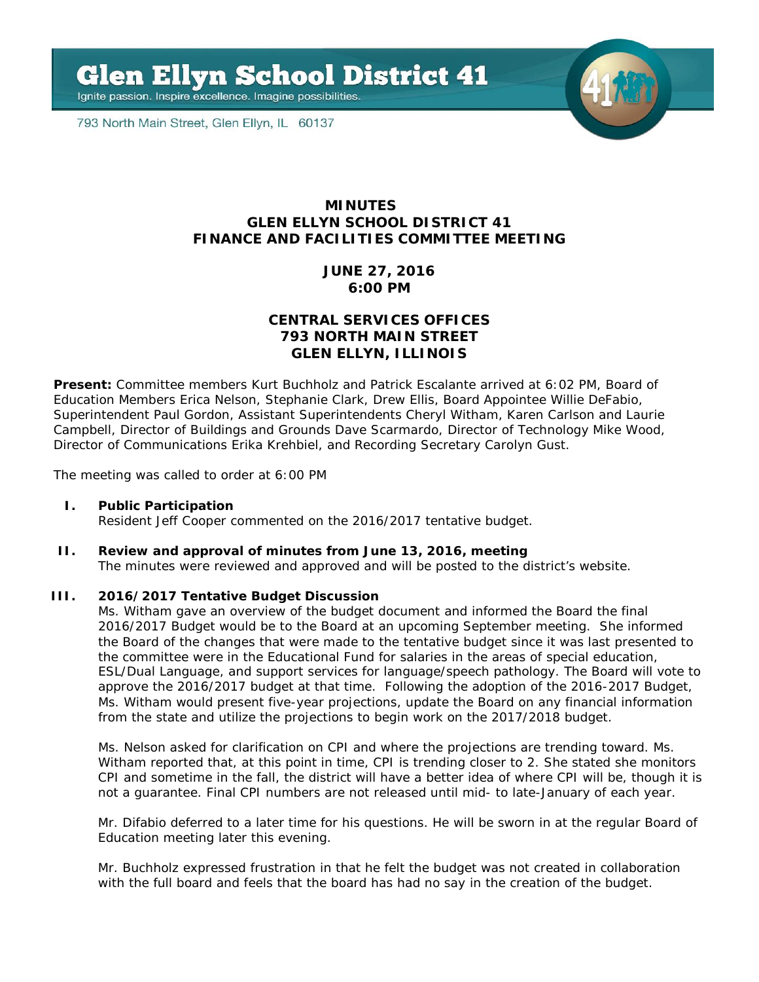**Glen Ellyn School District 41** 

Ignite passion. Inspire excellence. Imagine possibilities.

793 North Main Street, Glen Ellyn, IL 60137



## **MINUTES GLEN ELLYN SCHOOL DISTRICT 41 FINANCE AND FACILITIES COMMITTEE MEETING**

# **JUNE 27, 2016 6:00 PM**

# **CENTRAL SERVICES OFFICES 793 NORTH MAIN STREET GLEN ELLYN, ILLINOIS**

**Present:** Committee members Kurt Buchholz and Patrick Escalante arrived at 6:02 PM, Board of Education Members Erica Nelson, Stephanie Clark, Drew Ellis, Board Appointee Willie DeFabio, Superintendent Paul Gordon, Assistant Superintendents Cheryl Witham, Karen Carlson and Laurie Campbell, Director of Buildings and Grounds Dave Scarmardo, Director of Technology Mike Wood, Director of Communications Erika Krehbiel, and Recording Secretary Carolyn Gust.

The meeting was called to order at 6:00 PM

### **I. Public Participation**

Resident Jeff Cooper commented on the 2016/2017 tentative budget.

### **II. Review and approval of minutes from June 13, 2016, meeting**

The minutes were reviewed and approved and will be posted to the district's website.

#### **III. 2016/2017 Tentative Budget Discussion**

Ms. Witham gave an overview of the budget document and informed the Board the final 2016/2017 Budget would be to the Board at an upcoming September meeting. She informed the Board of the changes that were made to the tentative budget since it was last presented to the committee were in the Educational Fund for salaries in the areas of special education, ESL/Dual Language, and support services for language/speech pathology. The Board will vote to approve the 2016/2017 budget at that time. Following the adoption of the 2016-2017 Budget, Ms. Witham would present five-year projections, update the Board on any financial information from the state and utilize the projections to begin work on the 2017/2018 budget.

Ms. Nelson asked for clarification on CPI and where the projections are trending toward. Ms. Witham reported that, at this point in time, CPI is trending closer to 2. She stated she monitors CPI and sometime in the fall, the district will have a better idea of where CPI will be, though it is not a guarantee. Final CPI numbers are not released until mid- to late-January of each year.

Mr. Difabio deferred to a later time for his questions. He will be sworn in at the regular Board of Education meeting later this evening.

Mr. Buchholz expressed frustration in that he felt the budget was not created in collaboration with the full board and feels that the board has had no say in the creation of the budget.